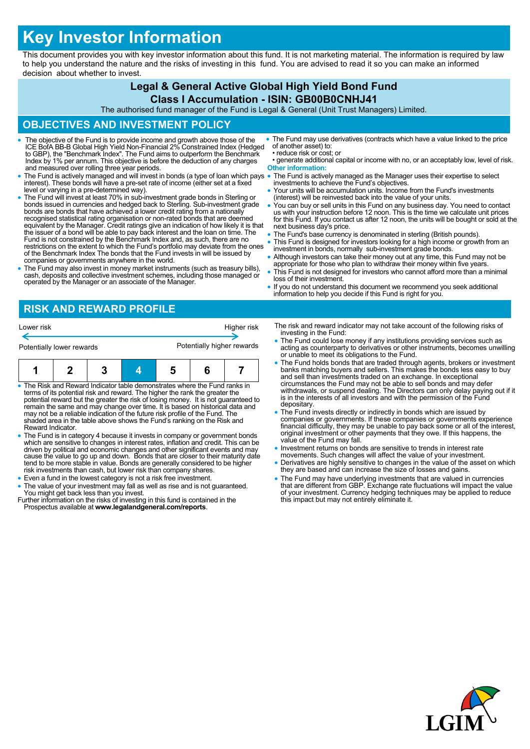# **Key Investor Information**

This document provides you with key investor information about this fund. It is not marketing material. The information is required by law to help you understand the nature and the risks of investing in this fund. You are advised to read it so you can make an informed decision about whether to invest.

## **Legal & General Active Global High Yield Bond Fund**

**Class I Accumulation - ISIN: GB00B0CNHJ41** The authorised fund manager of the Fund is Legal & General (Unit Trust Managers) Limited.

### **OBJECTIVES AND INVESTMENT POLICY**

• The objective of the Fund is to provide income and growth above those of the<br>ICE BofA BB-B Global High Yield Non-Financial 2% Constrained Index (Hedged<br>to GBP), the "Benchmark Index". The Fund aims to outperform the Benc Index by 1% per annum. This objective is before the deduction of any charges and measured over rolling three year periods. The Fund is actively managed and will invest in bonds (a type of loan which pays interest). These bonds will have a pre-set rate of income (either set at a fixed level or varying in a pre-determined way). The Fund will invest at least 70% in sub-investment grade bonds in Sterling or bonds issued in currencies and hedged back to Sterling. Sub-investment grade bonds are bonds that have achieved a lower credit rating from a nationally recognised statistical rating organisation or non-rated bonds that are deemed equivalent by the Manager. Credit ratings give an indication of how likely it is that the issuer of a bond will be able to pay back interest and the loan on time. The Fund is not constrained by the Benchmark Index and, as such, there are no restrictions on the extent to which the Fund's portfolio may deviate from the ones of the Benchmark Index The bonds that the Fund invests in will be issued by companies or governments anywhere in the world. The Fund may also invest in money market instruments (such as treasury bills), cash, deposits and collective investment schemes, including those managed or operated by the Manager or an associate of the Manager. The Fund may use derivatives (contracts which have a value linked to the price of another asset) to: • reduce risk or cost; or • generate additional capital or income with no, or an acceptably low, level of risk. **Other information:** The Fund is actively managed as the Manager uses their expertise to select investments to achieve the Fund's objectives. Your units will be accumulation units. Income from the Fund's investments (interest) will be reinvested back into the value of your units. You can buy or sell units in this Fund on any business day. You need to contact us with your instruction before 12 noon. This is the time we calculate unit prices for this Fund. If you contact us after 12 noon, the units will be bought or sold at the next business day's price. The Fund's base currency is denominated in sterling (British pounds). This Fund is designed for investors looking for a high income or growth from an investment in bonds, normally sub-investment grade bonds. Although investors can take their money out at any time, this Fund may not be appropriate for those who plan to withdraw their money within five years. This Fund is not designed for investors who cannot afford more than a minimal loss of their investment. If you do not understand this document we recommend you seek additional information to help you decide if this Fund is right for you.

## **RISK AND REWARD PROFILE**

|                                                                            | Lower risk |  | Higher risk |  |  |  |
|----------------------------------------------------------------------------|------------|--|-------------|--|--|--|
| Potentially higher rewards<br>Potentially lower rewards                    |            |  |             |  |  |  |
|                                                                            |            |  |             |  |  |  |
| • The Risk and Reward Indicator table demonstrates where the Fund ranks in |            |  |             |  |  |  |

- The Risk and Reward Indicator table demonstrates where the Fund ranks in<br>terms of its potential risk and reward. The higher the rank the greater the<br>potential reward but the greater the risk of losing money. It is not gu may not be a reliable indication of the future risk profile of the Fund. The shaded area in the table above shows the Fund's ranking on the Risk and Reward Indicator.
- The Fund is in category 4 because it invests in company or government bonds which are sensitive to changes in interest rates, inflation and credit. This can be driven by political and economic changes and other significant events and may<br>cause the value to go up and down. Bonds that are closer to their maturity date<br>tend to be more stable in value. Bonds are generally considered risk investments than cash, but lower risk than company shares.
- Even a fund in the lowest category is not a risk free investment.
- The value of your investment may fall as well as rise and is not guaranteed. You might get back less than you invest. Further information on the risks of investing in this fund is contained in the
- Prospectus available at **www.legalandgeneral.com/reports**.
- The risk and reward indicator may not take account of the following risks of investing in the Fund:
- The Fund could lose money if any institutions providing services such as acting as counterparty to derivatives or other instruments, becomes unwilling or unable to meet its obligations to the Fund.
- The Fund holds bonds that are traded through agents, brokers or investment banks matching buyers and sellers. This makes the bonds less easy to buy and sell than investments traded on an exchange. In exceptional circumstances the Fund may not be able to sell bonds and may defer withdrawals, or suspend dealing. The Directors can only delay paying out if it is in the interests of all investors and with the permission of the Fund depositary.
- The Fund invests directly or indirectly in bonds which are issued by companies or governments. If these companies or governments experience financial difficulty, they may be unable to pay back some or all of the interest, original investment or other payments that they owe. If this happens, the value of the Fund may fall.
- Investment returns on bonds are sensitive to trends in interest rate movements. Such changes will affect the value of your investment
- Derivatives are highly sensitive to changes in the value of the asset on which they are based and can increase the size of losses and gains.
- The Fund may have underlying investments that are valued in currencies that are different from GBP. Exchange rate fluctuations will impact the value of your investment. Currency hedging techniques may be applied to reduce this impact but may not entirely eliminate it.